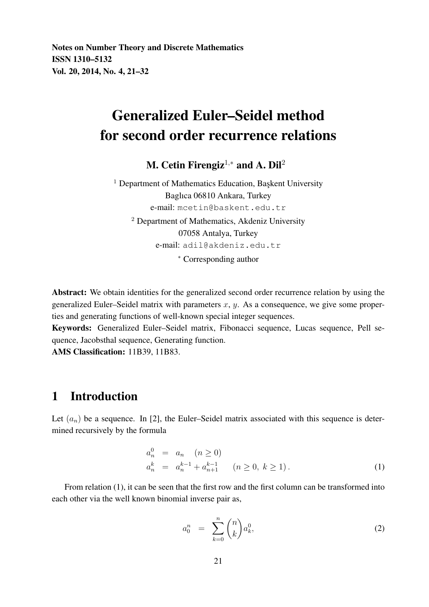# Generalized Euler–Seidel method for second order recurrence relations

M. Cetin Firengiz<sup>1,\*</sup> and A. Dil<sup>2</sup>

 $1$  Department of Mathematics Education, Başkent University Baglıca 06810 Ankara, Turkey e-mail: mcetin@baskent.edu.tr <sup>2</sup> Department of Mathematics, Akdeniz University 07058 Antalya, Turkey e-mail: adil@akdeniz.edu.tr <sup>∗</sup> Corresponding author

Abstract: We obtain identities for the generalized second order recurrence relation by using the generalized Euler–Seidel matrix with parameters x, y. As a consequence, we give some properties and generating functions of well-known special integer sequences.

Keywords: Generalized Euler–Seidel matrix, Fibonacci sequence, Lucas sequence, Pell sequence, Jacobsthal sequence, Generating function.

AMS Classification: 11B39, 11B83.

### 1 Introduction

Let  $(a_n)$  be a sequence. In [2], the Euler–Seidel matrix associated with this sequence is determined recursively by the formula

$$
a_n^0 = a_n \quad (n \ge 0)
$$
  
\n
$$
a_n^k = a_n^{k-1} + a_{n+1}^{k-1} \quad (n \ge 0, k \ge 1).
$$
\n(1)

From relation (1), it can be seen that the first row and the first column can be transformed into each other via the well known binomial inverse pair as,

$$
a_0^n = \sum_{k=0}^n \binom{n}{k} a_k^0,
$$
\n(2)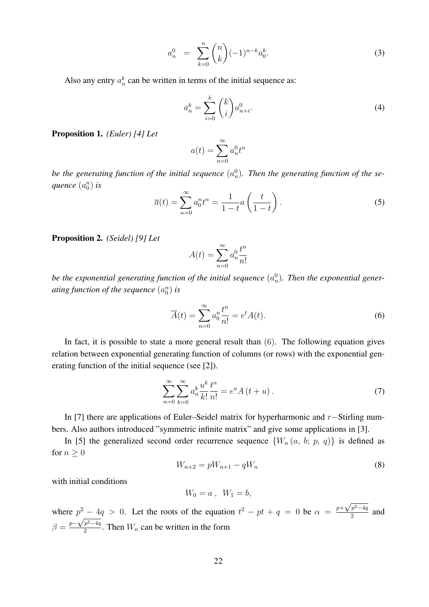$$
a_n^0 = \sum_{k=0}^n \binom{n}{k} (-1)^{n-k} a_0^k.
$$
 (3)

Also any entry  $a_n^k$  can be written in terms of the initial sequence as:

$$
a_n^k = \sum_{i=0}^k \binom{k}{i} a_{n+i}^0.
$$
\n<sup>(4)</sup>

Proposition 1. *(Euler) [4] Let*

$$
a(t) = \sum_{n=0}^{\infty} a_n^0 t^n
$$

be the generating function of the initial sequence  $(a_n^0)$ . Then the generating function of the se- $\emph{quence }(a_0^n)$  is

$$
\overline{a}(t) = \sum_{n=0}^{\infty} a_0^n t^n = \frac{1}{1-t} a\left(\frac{t}{1-t}\right). \tag{5}
$$

Proposition 2. *(Seidel) [9] Let*

$$
A(t) = \sum_{n=0}^{\infty} a_n^0 \frac{t^n}{n!}
$$

be the exponential generating function of the initial sequence  $(a_n^0)$ . Then the exponential generating function of the sequence  $(a_0^n)$  is

$$
\overline{A}(t) = \sum_{n=0}^{\infty} a_0^n \frac{t^n}{n!} = e^t A(t).
$$
\n(6)

In fact, it is possible to state a more general result than  $(6)$ . The following equation gives relation between exponential generating function of columns (or rows) with the exponential generating function of the initial sequence (see [2]).

$$
\sum_{n=0}^{\infty} \sum_{k=0}^{\infty} a_n^k \frac{u^k}{k!} \frac{t^n}{n!} = e^u A(t+u).
$$
 (7)

In [7] there are applications of Euler–Seidel matrix for hyperharmonic and r−Stirling numbers. Also authors introduced "symmetric infinite matrix" and give some applications in [3].

In [5] the generalized second order recurrence sequence  $\{W_n(a, b; p, q)\}\$ is defined as for  $n \geq 0$ 

$$
W_{n+2} = pW_{n+1} - qW_n \tag{8}
$$

with initial conditions

$$
W_0 = a \,,\ \ W_1 = b,
$$

where  $p^2 - 4q > 0$ . Let the roots of the equation  $t^2 - pt + q = 0$  be  $\alpha = \frac{p + \sqrt{p^2 - 4q}}{2}$  $p^2-4q > 0$ . Let the roots of the equation  $t^2 - pt + q = 0$  be  $\alpha = \frac{p+\sqrt{p^2-4q}}{2}$  and  $\beta = \frac{p - \sqrt{p^2 - 4q}}{2}$  $\frac{p-4q}{2}$ . Then  $W_n$  can be written in the form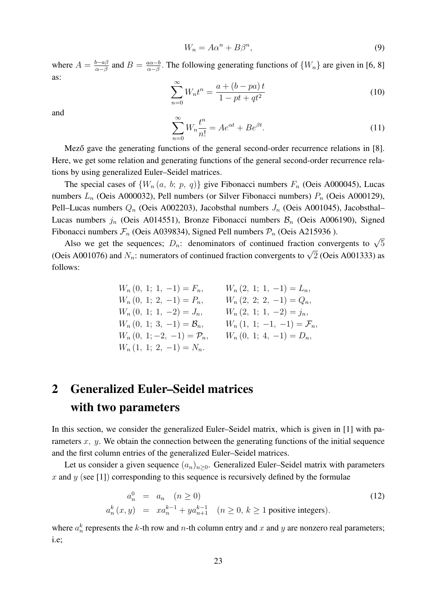$$
W_n = A\alpha^n + B\beta^n,\tag{9}
$$

where  $A = \frac{b-a\beta}{\alpha - \beta}$  $\frac{b-a\beta}{\alpha-\beta}$  and  $B=\frac{a\alpha-b}{\alpha-\beta}$  $\frac{a\alpha-b}{\alpha-\beta}$ . The following generating functions of  $\{W_n\}$  are given in [6, 8] as:

$$
\sum_{n=0}^{\infty} W_n t^n = \frac{a + (b - pa)t}{1 - pt + qt^2}
$$
\n(10)

and

$$
\sum_{n=0}^{\infty} W_n \frac{t^n}{n!} = Ae^{\alpha t} + Be^{\beta t}.
$$
\n(11)

Mező gave the generating functions of the general second-order recurrence relations in [8]. Here, we get some relation and generating functions of the general second-order recurrence relations by using generalized Euler–Seidel matrices.

The special cases of  $\{W_n(a, b; p, q)\}\$  give Fibonacci numbers  $F_n$  (Oeis A000045), Lucas numbers  $L_n$  (Oeis A000032), Pell numbers (or Silver Fibonacci numbers)  $P_n$  (Oeis A000129), Pell–Lucas numbers  $Q_n$  (Oeis A002203), Jacobsthal numbers  $J_n$  (Oeis A001045), Jacobsthal– Lucas numbers  $j_n$  (Oeis A014551), Bronze Fibonacci numbers  $\mathcal{B}_n$  (Oeis A006190), Signed Fibonacci numbers  $\mathcal{F}_n$  (Oeis A039834), Signed Pell numbers  $\mathcal{P}_n$  (Oeis A215936).

Also we get the sequences;  $D_n$ : denominators of continued fraction convergents to  $\sqrt{5}$ <br>Also we get the sequences;  $D_n$ : denominators of continued fraction convergents to  $\sqrt{5}$ (Oeis A001076) and  $N_n$ : numerators of continued fraction convergents to  $\sqrt{2}$  (Oeis A001333) as follows:

> $W_n (0, 1; 1, -1) = F_n, \qquad W_n (2, 1; 1, -1) = L_n,$  $W_n (0, 1; 2, -1) = P_n, \qquad W_n (2, 2; 2, -1) = Q_n,$  $W_n (0, 1; 1, -2) = J_n, \qquad W_n (2, 1; 1, -2) = j_n,$  $W_n (0, 1; 3, -1) = \mathcal{B}_n, \qquad W_n (1, 1; -1, -1) = \mathcal{F}_n,$  $W_n (0, 1; -2, -1) = \mathcal{P}_n, \qquad W_n (0, 1; 4, -1) = D_n,$  $W_n(1, 1; 2, -1) = N_n.$

# 2 Generalized Euler–Seidel matrices with two parameters

In this section, we consider the generalized Euler–Seidel matrix, which is given in [1] with parameters  $x, y$ . We obtain the connection between the generating functions of the initial sequence and the first column entries of the generalized Euler–Seidel matrices.

Let us consider a given sequence  $(a_n)_{n\geq 0}$ . Generalized Euler–Seidel matrix with parameters x and y (see [1]) corresponding to this sequence is recursively defined by the formulae

$$
a_n^0 = a_n \quad (n \ge 0)
$$
  
\n
$$
a_n^k(x, y) = xa_n^{k-1} + ya_{n+1}^{k-1} \quad (n \ge 0, k \ge 1 \text{ positive integers}).
$$
\n(12)

where  $a_n^k$  represents the k-th row and n-th column entry and x and y are nonzero real parameters; i.e;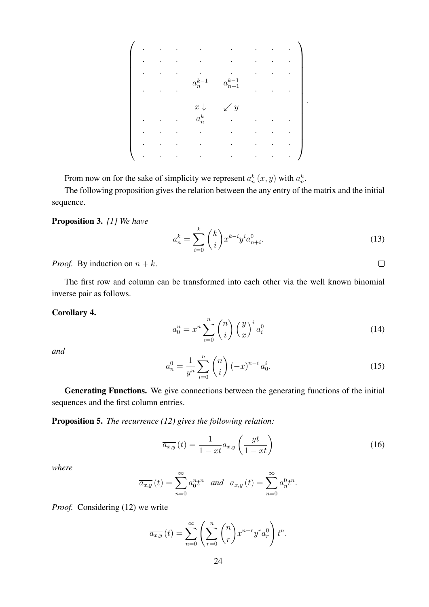. . . . . . . . . . . . . . . . . . . . . . . . . . . a k−1 n x ↓ a k−1 n+1 . y . . . . . . a<sup>k</sup> n . . . . . . . . . . . . . . . . . . . . . . . . . . . . .

From now on for the sake of simplicity we represent  $a_n^k(x, y)$  with  $a_n^k$ .

The following proposition gives the relation between the any entry of the matrix and the initial sequence.

#### Proposition 3. *[1] We have*

$$
a_n^k = \sum_{i=0}^k \binom{k}{i} x^{k-i} y^i a_{n+i}^0.
$$
 (13)

 $\Box$ 

*Proof.* By induction on  $n + k$ .

The first row and column can be transformed into each other via the well known binomial inverse pair as follows.

#### Corollary 4.

$$
a_0^n = x^n \sum_{i=0}^n \binom{n}{i} \left(\frac{y}{x}\right)^i a_i^0 \tag{14}
$$

*and*

$$
a_n^0 = \frac{1}{y^n} \sum_{i=0}^n \binom{n}{i} \left(-x\right)^{n-i} a_0^i.
$$
 (15)

Generating Functions. We give connections between the generating functions of the initial sequences and the first column entries.

Proposition 5. *The recurrence (12) gives the following relation:*

$$
\overline{a_{x,y}}\left(t\right) = \frac{1}{1 - xt} a_{x,y} \left(\frac{yt}{1 - xt}\right) \tag{16}
$$

*where*

$$
\overline{a_{x,y}}(t) = \sum_{n=0}^{\infty} a_0^n t^n
$$
 and  $a_{x,y}(t) = \sum_{n=0}^{\infty} a_n^0 t^n$ .

*Proof.* Considering (12) we write

$$
\overline{a_{x,y}}(t) = \sum_{n=0}^{\infty} \left( \sum_{r=0}^{n} {n \choose r} x^{n-r} y^{r} a_r^{0} \right) t^{n}.
$$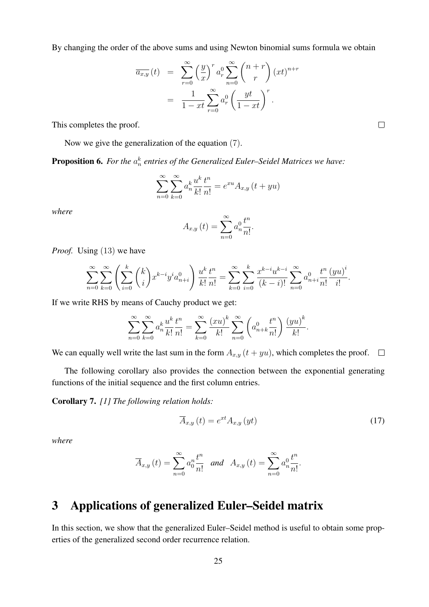By changing the order of the above sums and using Newton binomial sums formula we obtain

$$
\overline{a_{x,y}}(t) = \sum_{r=0}^{\infty} \left(\frac{y}{x}\right)^r a_r^0 \sum_{n=0}^{\infty} {n+r \choose r} (xt)^{n+r}
$$

$$
= \frac{1}{1-xt} \sum_{r=0}^{\infty} a_r^0 \left(\frac{yt}{1-xt}\right)^r.
$$

This completes the proof.

Now we give the generalization of the equation (7).

**Proposition 6.** For the  $a_n^k$  entries of the Generalized Euler–Seidel Matrices we have:

$$
\sum_{n=0}^{\infty} \sum_{k=0}^{\infty} a_n^k \frac{u^k}{k!} \frac{t^n}{n!} = e^{xu} A_{x,y} (t + yu)
$$

*where*

$$
A_{x,y}\left(t\right) = \sum_{n=0}^{\infty} a_n^0 \frac{t^n}{n!}.
$$

*Proof.* Using (13) we have

$$
\sum_{n=0}^{\infty} \sum_{k=0}^{\infty} \left( \sum_{i=0}^{k} \binom{k}{i} x^{k-i} y^{i} a_{n+i}^{0} \right) \frac{u^{k}}{k!} \frac{t^{n}}{n!} = \sum_{k=0}^{\infty} \sum_{i=0}^{k} \frac{x^{k-i} u^{k-i}}{(k-i)!} \sum_{n=0}^{\infty} a_{n+i}^{0} \frac{t^{n}}{n!} \frac{(yu)^{i}}{i!}
$$

If we write RHS by means of Cauchy product we get:

$$
\sum_{n=0}^{\infty} \sum_{k=0}^{\infty} a_n^k \frac{u^k}{k!} \frac{t^n}{n!} = \sum_{k=0}^{\infty} \frac{(xu)^k}{k!} \sum_{n=0}^{\infty} \left( a_{n+k}^0 \frac{t^n}{n!} \right) \frac{(yu)^k}{k!}.
$$

We can equally well write the last sum in the form  $A_{x,y}$   $(t + yu)$ , which completes the proof.  $\Box$ 

The following corollary also provides the connection between the exponential generating functions of the initial sequence and the first column entries.

Corollary 7. *[1] The following relation holds:*

$$
\overline{A}_{x,y}\left(t\right) = e^{xt}A_{x,y}\left(yt\right) \tag{17}
$$

*where*

$$
\overline{A}_{x,y}(t) = \sum_{n=0}^{\infty} a_0^n \frac{t^n}{n!} \text{ and } A_{x,y}(t) = \sum_{n=0}^{\infty} a_n^0 \frac{t^n}{n!}.
$$

## 3 Applications of generalized Euler–Seidel matrix

In this section, we show that the generalized Euler–Seidel method is useful to obtain some properties of the generalized second order recurrence relation.

 $\Box$ 

.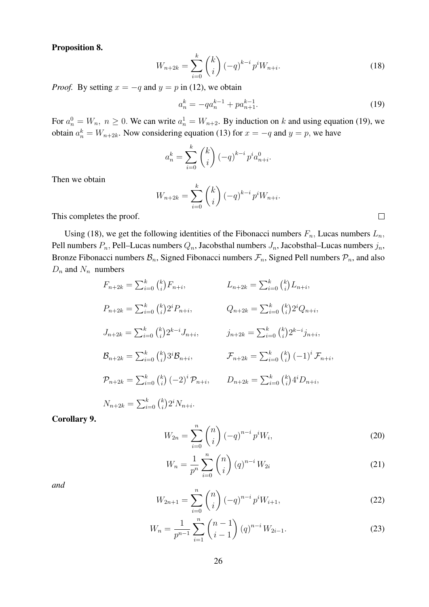Proposition 8.

$$
W_{n+2k} = \sum_{i=0}^{k} {k \choose i} (-q)^{k-i} p^i W_{n+i}.
$$
 (18)

*Proof.* By setting  $x = -q$  and  $y = p$  in (12), we obtain

$$
a_n^k = -qa_n^{k-1} + pa_{n+1}^{k-1}.
$$
\n(19)

For  $a_n^0 = W_n$ ,  $n \ge 0$ . We can write  $a_n^1 = W_{n+2}$ . By induction on k and using equation (19), we obtain  $a_n^k = W_{n+2k}$ . Now considering equation (13) for  $x = -q$  and  $y = p$ , we have

$$
a_n^k = \sum_{i=0}^k {k \choose i} (-q)^{k-i} p^i a_{n+i}^0.
$$

Then we obtain

$$
W_{n+2k} = \sum_{i=0}^{k} {k \choose i} (-q)^{k-i} p^{i} W_{n+i}.
$$

This completes the proof.

Using (18), we get the following identities of the Fibonacci numbers  $F_n$ , Lucas numbers  $L_n$ , Pell numbers  $P_n$ , Pell–Lucas numbers  $Q_n$ , Jacobsthal numbers  $J_n$ , Jacobsthal–Lucas numbers  $j_n$ , Bronze Fibonacci numbers  $B_n$ , Signed Fibonacci numbers  $\mathcal{F}_n$ , Signed Pell numbers  $\mathcal{P}_n$ , and also  $D_n$  and  $N_n$  numbers

$$
F_{n+2k} = \sum_{i=0}^{k} {k \choose i} F_{n+i}, \qquad L_{n+2k} = \sum_{i=0}^{k} {k \choose i} L_{n+i},
$$
  
\n
$$
P_{n+2k} = \sum_{i=0}^{k} {k \choose i} 2^{i} P_{n+i}, \qquad Q_{n+2k} = \sum_{i=0}^{k} {k \choose i} 2^{i} Q_{n+i},
$$
  
\n
$$
J_{n+2k} = \sum_{i=0}^{k} {k \choose i} 2^{k-i} J_{n+i}, \qquad j_{n+2k} = \sum_{i=0}^{k} {k \choose i} 2^{k-i} j_{n+i},
$$
  
\n
$$
\mathcal{B}_{n+2k} = \sum_{i=0}^{k} {k \choose i} 3^{i} \mathcal{B}_{n+i}, \qquad \mathcal{F}_{n+2k} = \sum_{i=0}^{k} {k \choose i} (-1)^{i} \mathcal{F}_{n+i},
$$
  
\n
$$
\mathcal{P}_{n+2k} = \sum_{i=0}^{k} {k \choose i} (-2)^{i} \mathcal{P}_{n+i}, \qquad D_{n+2k} = \sum_{i=0}^{k} {k \choose i} 4^{i} D_{n+i},
$$
  
\n
$$
N_{n+2k} = \sum_{i=0}^{k} {k \choose i} 2^{i} N_{n+i}.
$$

Corollary 9.

$$
W_{2n} = \sum_{i=0}^{n} {n \choose i} (-q)^{n-i} p^i W_i,
$$
 (20)

$$
W_n = \frac{1}{p^n} \sum_{i=0}^n \binom{n}{i} (q)^{n-i} W_{2i}
$$
 (21)

*and*

$$
W_{2n+1} = \sum_{i=0}^{n} \binom{n}{i} (-q)^{n-i} p^i W_{i+1},\tag{22}
$$

$$
W_n = \frac{1}{p^{n-1}} \sum_{i=1}^n \binom{n-1}{i-1} (q)^{n-i} W_{2i-1}.
$$
 (23)

 $\Box$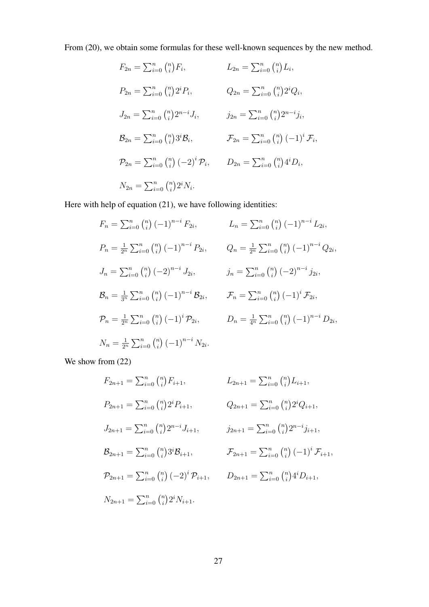From (20), we obtain some formulas for these well-known sequences by the new method.

$$
F_{2n} = \sum_{i=0}^{n} {n \choose i} F_i, \qquad L_{2n} = \sum_{i=0}^{n} {n \choose i} L_i,
$$
  
\n
$$
P_{2n} = \sum_{i=0}^{n} {n \choose i} 2^i P_i, \qquad Q_{2n} = \sum_{i=0}^{n} {n \choose i} 2^i Q_i,
$$
  
\n
$$
J_{2n} = \sum_{i=0}^{n} {n \choose i} 2^{n-i} J_i, \qquad j_{2n} = \sum_{i=0}^{n} {n \choose i} 2^{n-i} j_i,
$$
  
\n
$$
\mathcal{B}_{2n} = \sum_{i=0}^{n} {n \choose i} 3^i \mathcal{B}_i, \qquad \mathcal{F}_{2n} = \sum_{i=0}^{n} {n \choose i} (-1)^i \mathcal{F}_i,
$$
  
\n
$$
\mathcal{P}_{2n} = \sum_{i=0}^{n} {n \choose i} (-2)^i \mathcal{P}_i, \qquad D_{2n} = \sum_{i=0}^{n} {n \choose i} 4^i D_i,
$$
  
\n
$$
N_{2n} = \sum_{i=0}^{n} {n \choose i} 2^i N_i.
$$

Here with help of equation (21), we have following identities:

$$
F_n = \sum_{i=0}^n {n \choose i} (-1)^{n-i} F_{2i}, \qquad L_n = \sum_{i=0}^n {n \choose i} (-1)^{n-i} L_{2i},
$$
  
\n
$$
P_n = \frac{1}{2^n} \sum_{i=0}^n {n \choose i} (-1)^{n-i} P_{2i}, \qquad Q_n = \frac{1}{2^n} \sum_{i=0}^n {n \choose i} (-1)^{n-i} Q_{2i},
$$
  
\n
$$
J_n = \sum_{i=0}^n {n \choose i} (-2)^{n-i} J_{2i}, \qquad j_n = \sum_{i=0}^n {n \choose i} (-2)^{n-i} J_{2i},
$$
  
\n
$$
\mathcal{B}_n = \frac{1}{3^n} \sum_{i=0}^n {n \choose i} (-1)^{n-i} \mathcal{B}_{2i}, \qquad \mathcal{F}_n = \sum_{i=0}^n {n \choose i} (-1)^i \mathcal{F}_{2i},
$$
  
\n
$$
\mathcal{P}_n = \frac{1}{2^n} \sum_{i=0}^n {n \choose i} (-1)^i \mathcal{P}_{2i}, \qquad D_n = \frac{1}{4^n} \sum_{i=0}^n {n \choose i} (-1)^{n-i} D_{2i},
$$
  
\n
$$
N_n = \frac{1}{2^n} \sum_{i=0}^n {n \choose i} (-1)^{n-i} N_{2i}.
$$

We show from  $(22)$ 

$$
F_{2n+1} = \sum_{i=0}^{n} {n \choose i} F_{i+1}, \qquad L_{2n+1} = \sum_{i=0}^{n} {n \choose i} L_{i+1},
$$
  
\n
$$
P_{2n+1} = \sum_{i=0}^{n} {n \choose i} 2^{i} P_{i+1}, \qquad Q_{2n+1} = \sum_{i=0}^{n} {n \choose i} 2^{i} Q_{i+1},
$$
  
\n
$$
J_{2n+1} = \sum_{i=0}^{n} {n \choose i} 2^{n-i} J_{i+1}, \qquad j_{2n+1} = \sum_{i=0}^{n} {n \choose i} 2^{n-i} j_{i+1},
$$
  
\n
$$
\mathcal{B}_{2n+1} = \sum_{i=0}^{n} {n \choose i} 3^{i} \mathcal{B}_{i+1}, \qquad \mathcal{F}_{2n+1} = \sum_{i=0}^{n} {n \choose i} (-1)^{i} \mathcal{F}_{i+1},
$$
  
\n
$$
\mathcal{P}_{2n+1} = \sum_{i=0}^{n} {n \choose i} (-2)^{i} \mathcal{P}_{i+1}, \qquad D_{2n+1} = \sum_{i=0}^{n} {n \choose i} 4^{i} D_{i+1},
$$
  
\n
$$
N_{2n+1} = \sum_{i=0}^{n} {n \choose i} 2^{i} N_{i+1}.
$$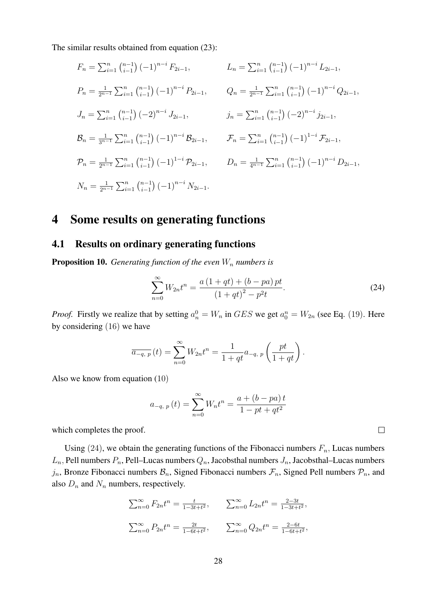The similar results obtained from equation (23):

$$
F_n = \sum_{i=1}^n {n-1 \choose i-1} (-1)^{n-i} F_{2i-1}, \qquad L_n = \sum_{i=1}^n {n-1 \choose i-1} (-1)^{n-i} L_{2i-1},
$$
  
\n
$$
P_n = \frac{1}{2^{n-1}} \sum_{i=1}^n {n-1 \choose i-1} (-1)^{n-i} P_{2i-1}, \qquad Q_n = \frac{1}{2^{n-1}} \sum_{i=1}^n {n-1 \choose i-1} (-1)^{n-i} Q_{2i-1},
$$
  
\n
$$
J_n = \sum_{i=1}^n {n-1 \choose i-1} (-2)^{n-i} J_{2i-1}, \qquad j_n = \sum_{i=1}^n {n-1 \choose i-1} (-2)^{n-i} J_{2i-1},
$$
  
\n
$$
\mathcal{B}_n = \frac{1}{3^{n-1}} \sum_{i=1}^n {n-1 \choose i-1} (-1)^{n-i} \mathcal{B}_{2i-1}, \qquad \mathcal{F}_n = \sum_{i=1}^n {n-1 \choose i-1} (-1)^{1-i} \mathcal{F}_{2i-1},
$$
  
\n
$$
\mathcal{P}_n = \frac{1}{2^{n-1}} \sum_{i=1}^n {n-1 \choose i-1} (-1)^{1-i} \mathcal{P}_{2i-1}, \qquad D_n = \frac{1}{4^{n-1}} \sum_{i=1}^n {n-1 \choose i-1} (-1)^{n-i} D_{2i-1},
$$
  
\n
$$
N_n = \frac{1}{2^{n-1}} \sum_{i=1}^n {n-1 \choose i-1} (-1)^{n-i} N_{2i-1}.
$$

### 4 Some results on generating functions

#### 4.1 Results on ordinary generating functions

**Proposition 10.** *Generating function of the even*  $W_n$  *numbers is* 

$$
\sum_{n=0}^{\infty} W_{2n} t^n = \frac{a (1+qt) + (b - pa) pt}{(1+qt)^2 - p^2 t}.
$$
 (24)

*Proof.* Firstly we realize that by setting  $a_n^0 = W_n$  in  $GES$  we get  $a_0^n = W_{2n}$  (see Eq. (19). Here by considering (16) we have

$$
\overline{a_{-q, p}}(t) = \sum_{n=0}^{\infty} W_{2n} t^n = \frac{1}{1 + qt} a_{-q, p} \left( \frac{pt}{1 + qt} \right).
$$

Also we know from equation (10)

$$
a_{-q, p}(t) = \sum_{n=0}^{\infty} W_n t^n = \frac{a + (b - pa)t}{1 - pt + qt^2}
$$

which completes the proof.

Using (24), we obtain the generating functions of the Fibonacci numbers  $F_n$ , Lucas numbers  $L_n$ , Pell numbers  $P_n$ , Pell–Lucas numbers  $Q_n$ , Jacobsthal numbers  $J_n$ , Jacobsthal–Lucas numbers  $j_n$ , Bronze Fibonacci numbers  $\mathcal{B}_n$ , Signed Fibonacci numbers  $\mathcal{F}_n$ , Signed Pell numbers  $\mathcal{P}_n$ , and also  $D_n$  and  $N_n$  numbers, respectively.

$$
\sum_{n=0}^{\infty} F_{2n} t^n = \frac{t}{1 - 3t + t^2}, \qquad \sum_{n=0}^{\infty} L_{2n} t^n = \frac{2 - 3t}{1 - 3t + t^2},
$$

$$
\sum_{n=0}^{\infty} P_{2n} t^n = \frac{2t}{1 - 6t + t^2}, \qquad \sum_{n=0}^{\infty} Q_{2n} t^n = \frac{2 - 6t}{1 - 6t + t^2},
$$

 $\Box$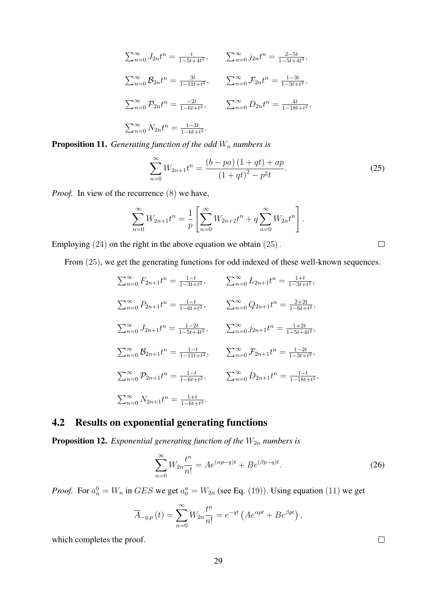$$
\sum_{n=0}^{\infty} J_{2n} t^n = \frac{t}{1 - 5t + 4t^2}, \qquad \sum_{n=0}^{\infty} j_{2n} t^n = \frac{2 - 5t}{1 - 5t + 4t^2},
$$
  

$$
\sum_{n=0}^{\infty} B_{2n} t^n = \frac{3t}{1 - 11t + t^2}, \qquad \sum_{n=0}^{\infty} \mathcal{F}_{2n} t^n = \frac{1 - 3t}{1 - 3t + t^2},
$$
  

$$
\sum_{n=0}^{\infty} \mathcal{P}_{2n} t^n = \frac{-2t}{1 - 6t + t^2}, \qquad \sum_{n=0}^{\infty} D_{2n} t^n = \frac{4t}{1 - 18t + t^2},
$$
  

$$
\sum_{n=0}^{\infty} N_{2n} t^n = \frac{1 - 3t}{1 - 6t + t^2}.
$$

**Proposition 11.** *Generating function of the odd*  $W_n$  *numbers is* 

$$
\sum_{n=0}^{\infty} W_{2n+1} t^n = \frac{(b - pa)(1 + qt) + ap}{(1 + qt)^2 - p^2 t}.
$$
\n(25)

*Proof.* In view of the recurrence (8) we have,

$$
\sum_{n=0}^{\infty} W_{2n+1} t^n = \frac{1}{p} \left[ \sum_{n=0}^{\infty} W_{2n+2} t^n + q \sum_{n=0}^{\infty} W_{2n} t^n \right].
$$

Employing (24) on the right in the above equation we obtain (25).

From (25), we get the generating functions for odd indexed of these well-known sequences.

$$
\sum_{n=0}^{\infty} F_{2n+1}t^n = \frac{1-t}{1-3t+t^2}, \qquad \sum_{n=0}^{\infty} L_{2n+1}t^n = \frac{1+t}{1-3t+t^2},
$$
  

$$
\sum_{n=0}^{\infty} P_{2n+1}t^n = \frac{1-t}{1-6t+t^2}, \qquad \sum_{n=0}^{\infty} Q_{2n+1}t^n = \frac{2+2t}{1-6t+t^2},
$$
  

$$
\sum_{n=0}^{\infty} J_{2n+1}t^n = \frac{1-2t}{1-5t+4t^2}, \qquad \sum_{n=0}^{\infty} j_{2n+1}t^n = \frac{1+2t}{1-5t+4t^2},
$$
  

$$
\sum_{n=0}^{\infty} B_{2n+1}t^n = \frac{1-t}{1-11t+t^2}, \qquad \sum_{n=0}^{\infty} \mathcal{F}_{2n+1}t^n = \frac{1-2t}{1-3t+t^2},
$$
  

$$
\sum_{n=0}^{\infty} P_{2n+1}t^n = \frac{1-t}{1-6t+t^2}, \qquad \sum_{n=0}^{\infty} D_{2n+1}t^n = \frac{1-t}{1-18t+t^2},
$$
  

$$
\sum_{n=0}^{\infty} N_{2n+1}t^n = \frac{1+t}{1-6t+t^2}.
$$

#### 4.2 Results on exponential generating functions

**Proposition 12.** *Exponential generating function of the*  $W_{2n}$  *numbers is* 

$$
\sum_{n=0}^{\infty} W_{2n} \frac{t^n}{n!} = A e^{(\alpha p - q)t} + B e^{(\beta p - q)t}.
$$
 (26)

*Proof.* For  $a_n^0 = W_n$  in  $GES$  we get  $a_0^n = W_{2n}$  (see Eq. (19)). Using equation (11) we get

$$
\overline{A}_{-q,p}(t) = \sum_{n=0}^{\infty} W_{2n} \frac{t^n}{n!} = e^{-qt} \left( A e^{\alpha pt} + B e^{\beta pt} \right),
$$

which completes the proof.

 $\Box$ 

 $\Box$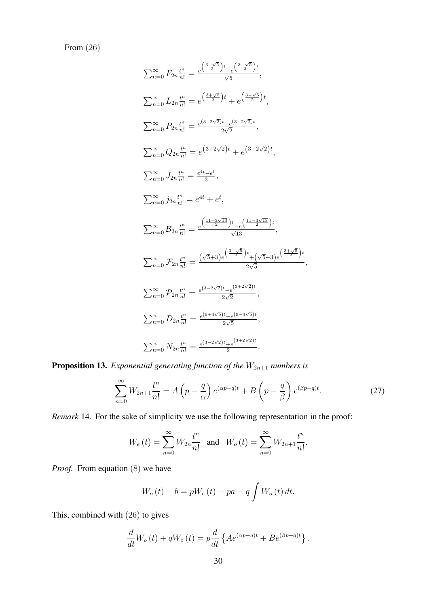From (26)

$$
\sum_{n=0}^{\infty} F_{2n} \frac{t^n}{n!} = \frac{e^{\left(\frac{3+\sqrt{5}}{2}\right)t} - e^{\left(\frac{3-\sqrt{5}}{2}\right)t}}{\sqrt{5}},
$$
\n
$$
\sum_{n=0}^{\infty} L_{2n} \frac{t^n}{n!} = e^{\left(\frac{3+\sqrt{5}}{2}\right)t} + e^{\left(\frac{3-\sqrt{5}}{2}\right)t},
$$
\n
$$
\sum_{n=0}^{\infty} P_{2n} \frac{t^n}{n!} = \frac{e^{(3+2\sqrt{2})t} - e^{(3-2\sqrt{2})t}}{2\sqrt{2}},
$$
\n
$$
\sum_{n=0}^{\infty} Q_{2n} \frac{t^n}{n!} = e^{\left(3+2\sqrt{2}\right)t} + e^{\left(3-2\sqrt{2}\right)t},
$$
\n
$$
\sum_{n=0}^{\infty} J_{2n} \frac{t^n}{n!} = \frac{e^{4t} - e^t}{3},
$$
\n
$$
\sum_{n=0}^{\infty} j_{2n} \frac{t^n}{n!} = e^{4t} + e^t,
$$
\n
$$
\sum_{n=0}^{\infty} B_{2n} \frac{t^n}{n!} = \frac{e^{\left(\frac{11+3\sqrt{13}}{2}\right)t} - e^{\left(\frac{11-3\sqrt{13}}{2}\right)t}}{\sqrt{13}},
$$
\n
$$
\sum_{n=0}^{\infty} \mathcal{F}_{2n} \frac{t^n}{n!} = \frac{\left(\frac{\sqrt{5}+3\right)e^{\left(\frac{3-\sqrt{5}}{2}\right)t} + (\sqrt{5}-3)e^{\left(\frac{3+\sqrt{5}}{2}\right)t}}{2\sqrt{5}},
$$
\n
$$
\sum_{n=0}^{\infty} \mathcal{F}_{2n} \frac{t^n}{n!} = \frac{e^{\left(3-2\sqrt{2}\right)t} - e^{\left(3+2\sqrt{2}\right)t}}{2\sqrt{2}},
$$
\n
$$
\sum_{n=0}^{\infty} D_{2n} \frac{t^n}{n!} = \frac{e^{\left(9+4\sqrt{5}\right)t} - e^{\left(9-4\sqrt{5}\right)t}}{2\sqrt{5}},
$$
\n
$$
\sum_{
$$

**Proposition 13.** *Exponential generating function of the*  $W_{2n+1}$  *numbers is* 

$$
\sum_{n=0}^{\infty} W_{2n+1} \frac{t^n}{n!} = A\left(p - \frac{q}{\alpha}\right) e^{(\alpha p - q)t} + B\left(p - \frac{q}{\beta}\right) e^{(\beta p - q)t}.
$$
 (27)

*Remark* 14*.* For the sake of simplicity we use the following representation in the proof:

$$
W_e(t) = \sum_{n=0}^{\infty} W_{2n} \frac{t^n}{n!} \text{ and } W_o(t) = \sum_{n=0}^{\infty} W_{2n+1} \frac{t^n}{n!}.
$$

*Proof.* From equation (8) we have

$$
W_o(t) - b = pW_e(t) - pa - q \int W_o(t) dt.
$$

This, combined with (26) to gives

$$
\frac{d}{dt}W_o(t) + qW_o(t) = p\frac{d}{dt}\left\{Ae^{(\alpha p - q)t} + Be^{(\beta p - q)t}\right\}.
$$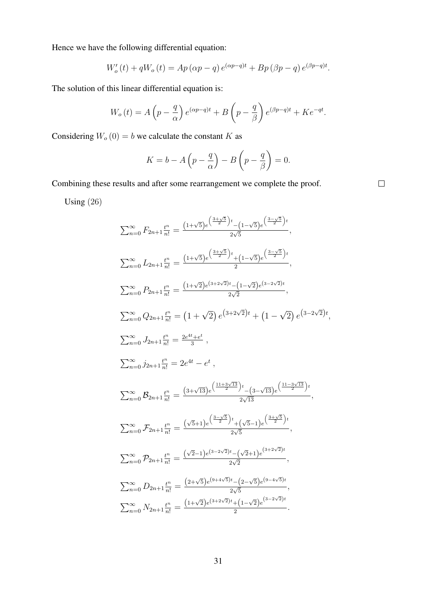Hence we have the following differential equation:

$$
W'_{o}(t) + qW_{o}(t) = Ap(\alpha p - q) e^{(\alpha p - q)t} + Bp(\beta p - q) e^{(\beta p - q)t}.
$$

The solution of this linear differential equation is:

$$
W_o(t) = A\left(p - \frac{q}{\alpha}\right)e^{(\alpha p - q)t} + B\left(p - \frac{q}{\beta}\right)e^{(\beta p - q)t} + Ke^{-qt}.
$$

Considering  $W_o(0) = b$  we calculate the constant K as

$$
K = b - A\left(p - \frac{q}{\alpha}\right) - B\left(p - \frac{q}{\beta}\right) = 0.
$$

Combining these results and after some rearrangement we complete the proof.

 $\Box$ 

Using (26)

$$
\sum_{n=0}^{\infty} F_{2n+1} \frac{t^n}{n!} = \frac{(1+\sqrt{5})e^{\left(\frac{3+\sqrt{5}}{2}\right)t} - (1-\sqrt{5})e^{\left(\frac{3-\sqrt{5}}{2}\right)t}}{2\sqrt{5}},
$$
\n
$$
\sum_{n=0}^{\infty} L_{2n+1} \frac{t^n}{n!} = \frac{(1+\sqrt{5})e^{\left(\frac{3+\sqrt{5}}{2}\right)t} + (1-\sqrt{5})e^{\left(\frac{3-\sqrt{5}}{2}\right)t}}{2},
$$
\n
$$
\sum_{n=0}^{\infty} P_{2n+1} \frac{t^n}{n!} = \frac{(1+\sqrt{2})e^{(3+2\sqrt{2})t} - (1-\sqrt{2})e^{(3-2\sqrt{2})t}}{2\sqrt{2}},
$$
\n
$$
\sum_{n=0}^{\infty} Q_{2n+1} \frac{t^n}{n!} = (1+\sqrt{2})e^{\left(3+2\sqrt{2}\right)t} + (1-\sqrt{2})e^{\left(3-2\sqrt{2}\right)t},
$$
\n
$$
\sum_{n=0}^{\infty} J_{2n+1} \frac{t^n}{n!} = \frac{2e^{4t} + e^t}{3},
$$
\n
$$
\sum_{n=0}^{\infty} j_{2n+1} \frac{t^n}{n!} = 2e^{4t} - e^t,
$$
\n
$$
\sum_{n=0}^{\infty} B_{2n+1} \frac{t^n}{n!} = \frac{(3+\sqrt{13})e^{\left(\frac{11+3\sqrt{13}}{2}\right)t} - (3-\sqrt{13})e^{\left(\frac{11-3\sqrt{13}}{2}\right)t}}{2\sqrt{13}},
$$
\n
$$
\sum_{n=0}^{\infty} \mathcal{F}_{2n+1} \frac{t^n}{n!} = \frac{(\sqrt{5}+1)e^{\left(\frac{3-\sqrt{5}}{2}\right)t} + (\sqrt{5}-1)e^{\left(\frac{3+\sqrt{5}}{2}\right)t}}{2\sqrt{5}},
$$
\n
$$
\sum_{n=0}^{\infty} \mathcal{F}_{2n+1} \frac{t^n}{n!} = \frac{(\sqrt{2}-1)e^{(3-2\sqrt{2})t} - (\sqrt{2}+1)e^{\left(\frac{3+\sqrt
$$